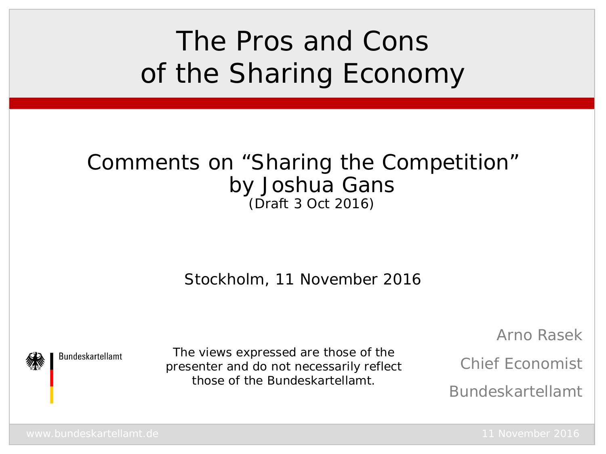# The Pros and Cons of the Sharing Economy

### Comments on "Sharing the Competition" by Joshua Gans (Draft 3 Oct 2016)

Stockholm, 11 November 2016

**Bundeskartellamt** 

The views expressed are those of the presenter and do not necessarily reflect those of the Bundeskartellamt.

Arno Rasek

Chief Economist

Bundeskartellamt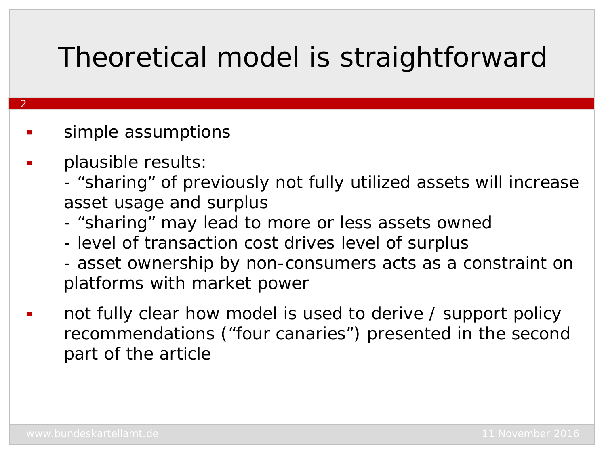## Theoretical model is straightforward

#### simple assumptions

plausible results:

- "sharing" of previously not fully utilized assets will increase asset usage and surplus
- "sharing" may lead to more or less assets owned
- level of transaction cost drives level of surplus
- asset ownership by non-consumers acts as a constraint on platforms with market power
- not fully clear how model is used to derive / support policy recommendations ("four canaries") presented in the second part of the article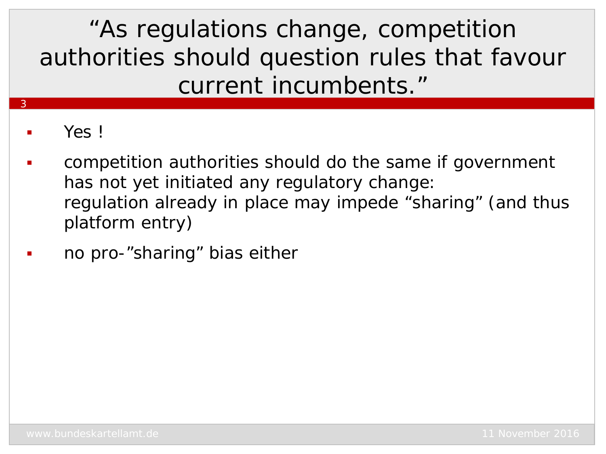"*As regulations change, competition authorities should question rules that favour current incumbents.*"

Yes !

- competition authorities should do the same if government has not yet initiated any regulatory change: regulation already in place may impede "sharing" (and thus platform entry)
- no pro-"sharing" bias either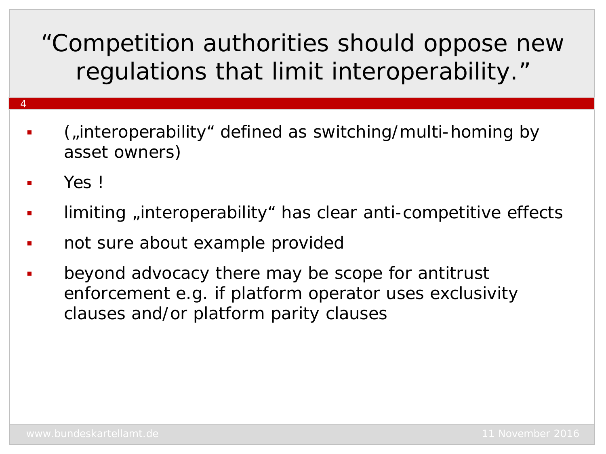"*Competition authorities should oppose new regulations that limit interoperability.*"

- ("interoperability" defined as switching/multi-homing by asset owners)
- Yes !

- limiting , interoperability " has clear anti-competitive effects
- not sure about example provided
- beyond advocacy there may be scope for antitrust enforcement e.g. if platform operator uses exclusivity clauses and/or platform parity clauses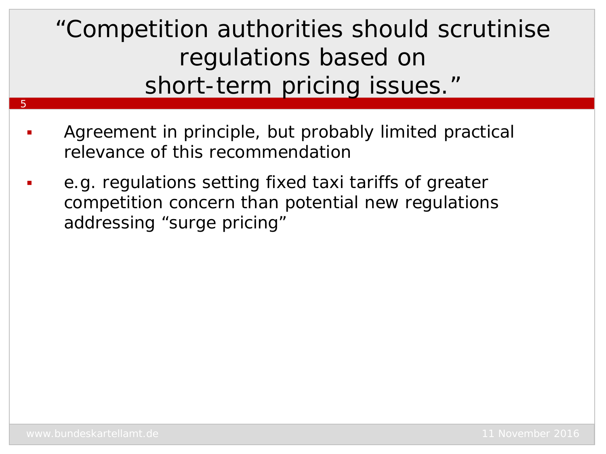"*Competition authorities should scrutinise regulations based on short-term pricing issues.*"

- Agreement in principle, but probably limited practical relevance of this recommendation
- e.g. regulations setting fixed taxi tariffs of greater competition concern than potential new regulations addressing "surge pricing"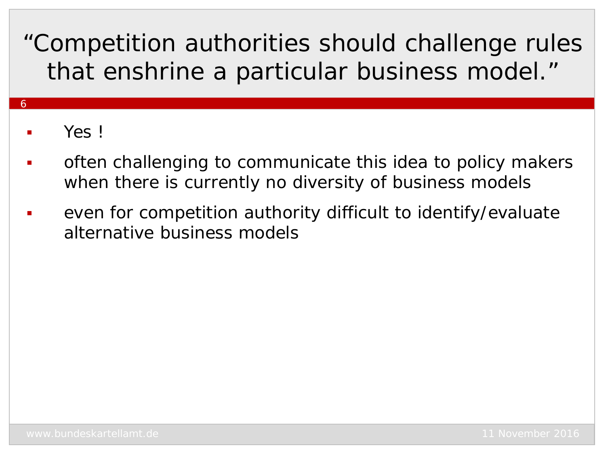## "*Competition authorities should challenge rules that enshrine a particular business model.*"

### Yes !

- often challenging to communicate this idea to policy makers when there is currently no diversity of business models
- even for competition authority difficult to identify/evaluate alternative business models